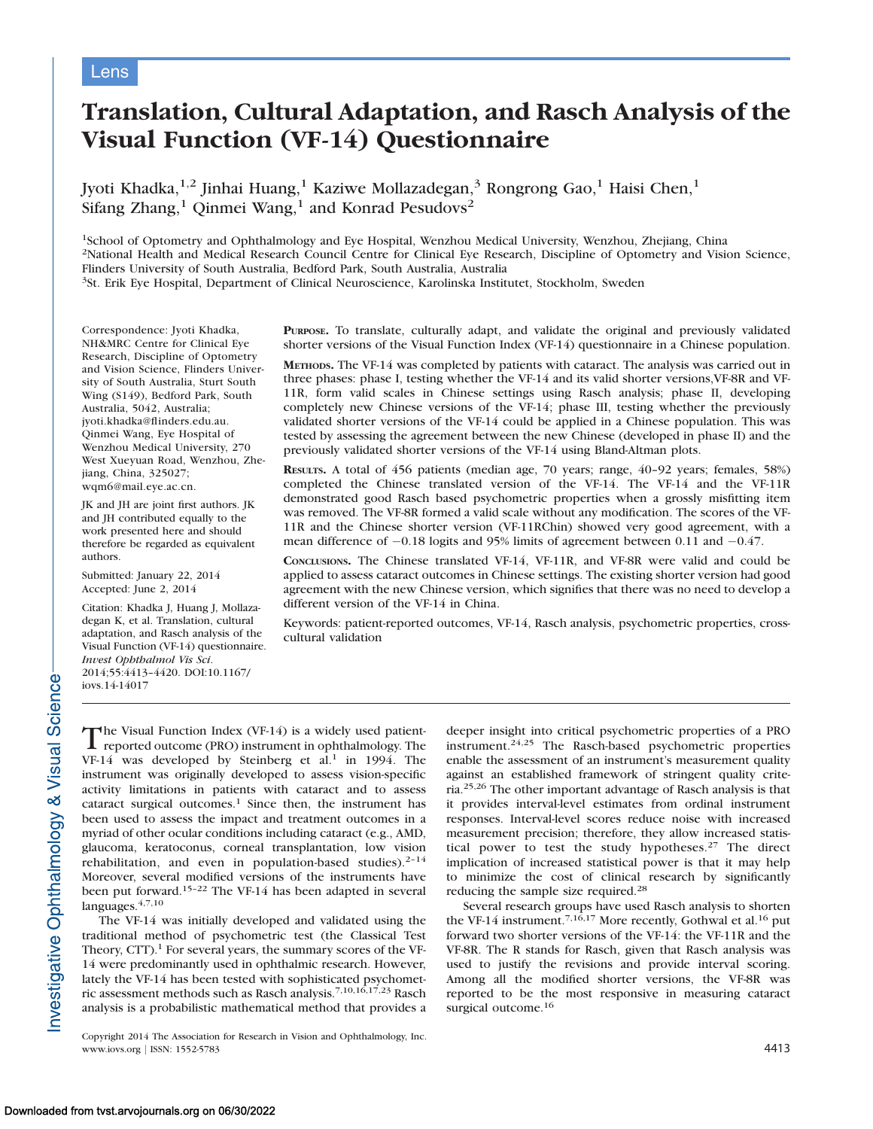# Lens

# Translation, Cultural Adaptation, and Rasch Analysis of the Visual Function (VF-14) Questionnaire

Jyoti Khadka,<sup>1,2</sup> Jinhai Huang,<sup>1</sup> Kaziwe Mollazadegan,<sup>3</sup> Rongrong Gao,<sup>1</sup> Haisi Chen,<sup>1</sup> Sifang Zhang,<sup>1</sup> Qinmei Wang,<sup>1</sup> and Konrad Pesudovs<sup>2</sup>

<sup>1</sup>School of Optometry and Ophthalmology and Eye Hospital, Wenzhou Medical University, Wenzhou, Zhejiang, China 2National Health and Medical Research Council Centre for Clinical Eye Research, Discipline of Optometry and Vision Science, Flinders University of South Australia, Bedford Park, South Australia, Australia 3St. Erik Eye Hospital, Department of Clinical Neuroscience, Karolinska Institutet, Stockholm, Sweden

Correspondence: Jyoti Khadka, NH&MRC Centre for Clinical Eye Research, Discipline of Optometry and Vision Science, Flinders University of South Australia, Sturt South Wing (S149), Bedford Park, South Australia, 5042, Australia; jyoti.khadka@flinders.edu.au. Qinmei Wang, Eye Hospital of Wenzhou Medical University, 270 West Xueyuan Road, Wenzhou, Zhejiang, China, 325027; wqm6@mail.eye.ac.cn.

JK and JH are joint first authors. JK and JH contributed equally to the work presented here and should therefore be regarded as equivalent authors.

Submitted: January 22, 2014 Accepted: June 2, 2014

Citation: Khadka J, Huang J, Mollazadegan K, et al. Translation, cultural adaptation, and Rasch analysis of the Visual Function (VF-14) questionnaire. Invest Ophthalmol Vis Sci. 2014;55:4413–4420. DOI:10.1167/ iovs.14-14017

PURPOSE. To translate, culturally adapt, and validate the original and previously validated shorter versions of the Visual Function Index (VF-14) questionnaire in a Chinese population.

METHODS. The VF-14 was completed by patients with cataract. The analysis was carried out in three phases: phase I, testing whether the VF-14 and its valid shorter versions,VF-8R and VF-11R, form valid scales in Chinese settings using Rasch analysis; phase II, developing completely new Chinese versions of the VF-14; phase III, testing whether the previously validated shorter versions of the VF-14 could be applied in a Chinese population. This was tested by assessing the agreement between the new Chinese (developed in phase II) and the previously validated shorter versions of the VF-14 using Bland-Altman plots.

RESULTS. A total of 456 patients (median age, 70 years; range, 40–92 years; females, 58%) completed the Chinese translated version of the VF-14. The VF-14 and the VF-11R demonstrated good Rasch based psychometric properties when a grossly misfitting item was removed. The VF-8R formed a valid scale without any modification. The scores of the VF-11R and the Chinese shorter version (VF-11RChin) showed very good agreement, with a mean difference of  $-0.18$  logits and 95% limits of agreement between 0.11 and  $-0.47$ .

CONCLUSIONS. The Chinese translated VF-14, VF-11R, and VF-8R were valid and could be applied to assess cataract outcomes in Chinese settings. The existing shorter version had good agreement with the new Chinese version, which signifies that there was no need to develop a different version of the VF-14 in China.

Keywords: patient-reported outcomes, VF-14, Rasch analysis, psychometric properties, crosscultural validation

nvestigative Ophthalmology & Visual Science

The Visual Function Index (VF-14) is a widely used patient-<br>reported outcome (PRO) instrument in ophthalmology. The  $VF-14$  was developed by Steinberg et al.<sup>1</sup> in 1994. The instrument was originally developed to assess vision-specific activity limitations in patients with cataract and to assess cataract surgical outcomes.<sup>1</sup> Since then, the instrument has been used to assess the impact and treatment outcomes in a myriad of other ocular conditions including cataract (e.g., AMD, glaucoma, keratoconus, corneal transplantation, low vision rehabilitation, and even in population-based studies). $2-14$ Moreover, several modified versions of the instruments have been put forward.15–22 The VF-14 has been adapted in several languages.  $4,7,10$ 

The VF-14 was initially developed and validated using the traditional method of psychometric test (the Classical Test Theory,  $CTT$ ).<sup>1</sup> For several years, the summary scores of the VF-14 were predominantly used in ophthalmic research. However, lately the VF-14 has been tested with sophisticated psychometric assessment methods such as Rasch analysis.7,10,16,17,23 Rasch analysis is a probabilistic mathematical method that provides a

Copyright 2014 The Association for Research in Vision and Ophthalmology, Inc. www.iovs.org | ISSN: 1552-5783 4413

deeper insight into critical psychometric properties of a PRO instrument.24,25 The Rasch-based psychometric properties enable the assessment of an instrument's measurement quality against an established framework of stringent quality criteria.25,26 The other important advantage of Rasch analysis is that it provides interval-level estimates from ordinal instrument responses. Interval-level scores reduce noise with increased measurement precision; therefore, they allow increased statistical power to test the study hypotheses.<sup>27</sup> The direct implication of increased statistical power is that it may help to minimize the cost of clinical research by significantly reducing the sample size required.<sup>28</sup>

Several research groups have used Rasch analysis to shorten the VF-14 instrument.<sup>7,16,17</sup> More recently, Gothwal et al.<sup>16</sup> put forward two shorter versions of the VF-14: the VF-11R and the VF-8R. The R stands for Rasch, given that Rasch analysis was used to justify the revisions and provide interval scoring. Among all the modified shorter versions, the VF-8R was reported to be the most responsive in measuring cataract surgical outcome.<sup>16</sup>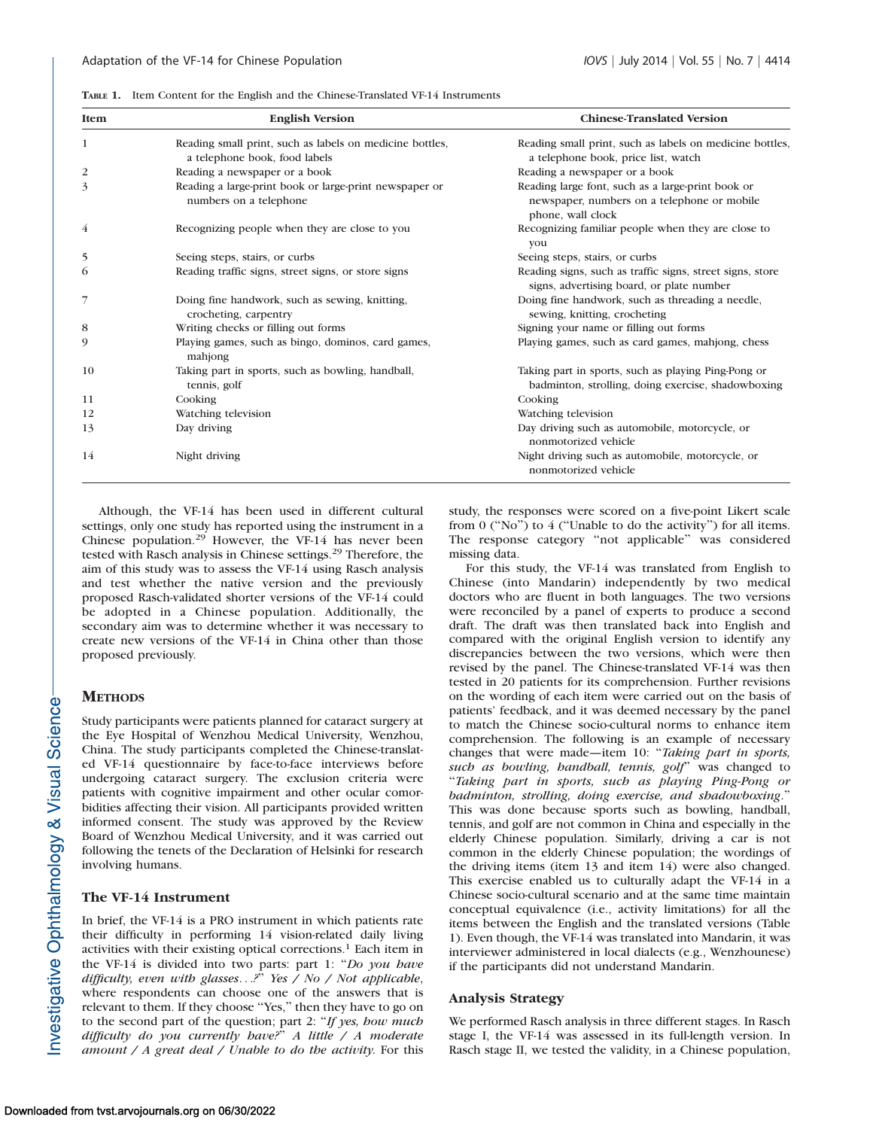TABLE 1. Item Content for the English and the Chinese-Translated VF-14 Instruments

| <b>Item</b>    | <b>English Version</b>                                                                    | <b>Chinese-Translated Version</b>                                                                                     |
|----------------|-------------------------------------------------------------------------------------------|-----------------------------------------------------------------------------------------------------------------------|
| 1              | Reading small print, such as labels on medicine bottles,<br>a telephone book, food labels | Reading small print, such as labels on medicine bottles,<br>a telephone book, price list, watch                       |
| 2              | Reading a newspaper or a book                                                             | Reading a newspaper or a book                                                                                         |
| 3              | Reading a large-print book or large-print newspaper or<br>numbers on a telephone          | Reading large font, such as a large-print book or<br>newspaper, numbers on a telephone or mobile<br>phone, wall clock |
| 4              | Recognizing people when they are close to you                                             | Recognizing familiar people when they are close to<br>you                                                             |
| 5              | Seeing steps, stairs, or curbs                                                            | Seeing steps, stairs, or curbs                                                                                        |
| 6              | Reading traffic signs, street signs, or store signs                                       | Reading signs, such as traffic signs, street signs, store<br>signs, advertising board, or plate number                |
| $\overline{7}$ | Doing fine handwork, such as sewing, knitting,<br>crocheting, carpentry                   | Doing fine handwork, such as threading a needle,<br>sewing, knitting, crocheting                                      |
| 8              | Writing checks or filling out forms                                                       | Signing your name or filling out forms                                                                                |
| 9              | Playing games, such as bingo, dominos, card games,<br>mahjong                             | Playing games, such as card games, mahjong, chess                                                                     |
| 10             | Taking part in sports, such as bowling, handball,<br>tennis, golf                         | Taking part in sports, such as playing Ping-Pong or<br>badminton, strolling, doing exercise, shadowboxing             |
| 11             | Cooking                                                                                   | Cooking                                                                                                               |
| 12             | Watching television                                                                       | Watching television                                                                                                   |
| 13             | Day driving                                                                               | Day driving such as automobile, motorcycle, or<br>nonmotorized vehicle                                                |
| 14             | Night driving                                                                             | Night driving such as automobile, motorcycle, or<br>nonmotorized vehicle                                              |

Although, the VF-14 has been used in different cultural settings, only one study has reported using the instrument in a Chinese population.<sup>29</sup> However, the VF-14 has never been tested with Rasch analysis in Chinese settings.<sup>29</sup> Therefore, the aim of this study was to assess the VF-14 using Rasch analysis and test whether the native version and the previously proposed Rasch-validated shorter versions of the VF-14 could be adopted in a Chinese population. Additionally, the secondary aim was to determine whether it was necessary to create new versions of the VF-14 in China other than those proposed previously.

## **METHODS**

Study participants were patients planned for cataract surgery at the Eye Hospital of Wenzhou Medical University, Wenzhou, China. The study participants completed the Chinese-translated VF-14 questionnaire by face-to-face interviews before undergoing cataract surgery. The exclusion criteria were patients with cognitive impairment and other ocular comorbidities affecting their vision. All participants provided written informed consent. The study was approved by the Review Board of Wenzhou Medical University, and it was carried out following the tenets of the Declaration of Helsinki for research involving humans.

#### The VF-14 Instrument

In brief, the VF-14 is a PRO instrument in which patients rate their difficulty in performing 14 vision-related daily living activities with their existing optical corrections.<sup>1</sup> Each item in the VF-14 is divided into two parts: part 1: "Do you have difficulty, even with glasses...?'' Yes / No / Not applicable, where respondents can choose one of the answers that is relevant to them. If they choose ''Yes,'' then they have to go on to the second part of the question; part 2: "If yes, how much difficulty do you currently have?'' A little / A moderate amount  $\triangle A$  great deal  $\triangle D$  Unable to do the activity. For this

study, the responses were scored on a five-point Likert scale from 0 (''No'') to 4 (''Unable to do the activity'') for all items. The response category ''not applicable'' was considered missing data.

For this study, the VF-14 was translated from English to Chinese (into Mandarin) independently by two medical doctors who are fluent in both languages. The two versions were reconciled by a panel of experts to produce a second draft. The draft was then translated back into English and compared with the original English version to identify any discrepancies between the two versions, which were then revised by the panel. The Chinese-translated VF-14 was then tested in 20 patients for its comprehension. Further revisions on the wording of each item were carried out on the basis of patients' feedback, and it was deemed necessary by the panel to match the Chinese socio-cultural norms to enhance item comprehension. The following is an example of necessary changes that were made—item 10: "Taking part in sports, such as bowling, handball, tennis, golf' was changed to ''Taking part in sports, such as playing Ping-Pong or badminton, strolling, doing exercise, and shadowboxing.'' This was done because sports such as bowling, handball, tennis, and golf are not common in China and especially in the elderly Chinese population. Similarly, driving a car is not common in the elderly Chinese population; the wordings of the driving items (item 13 and item 14) were also changed. This exercise enabled us to culturally adapt the VF-14 in a Chinese socio-cultural scenario and at the same time maintain conceptual equivalence (i.e., activity limitations) for all the items between the English and the translated versions (Table 1). Even though, the VF-14 was translated into Mandarin, it was interviewer administered in local dialects (e.g., Wenzhounese) if the participants did not understand Mandarin.

#### Analysis Strategy

We performed Rasch analysis in three different stages. In Rasch stage I, the VF-14 was assessed in its full-length version. In Rasch stage II, we tested the validity, in a Chinese population,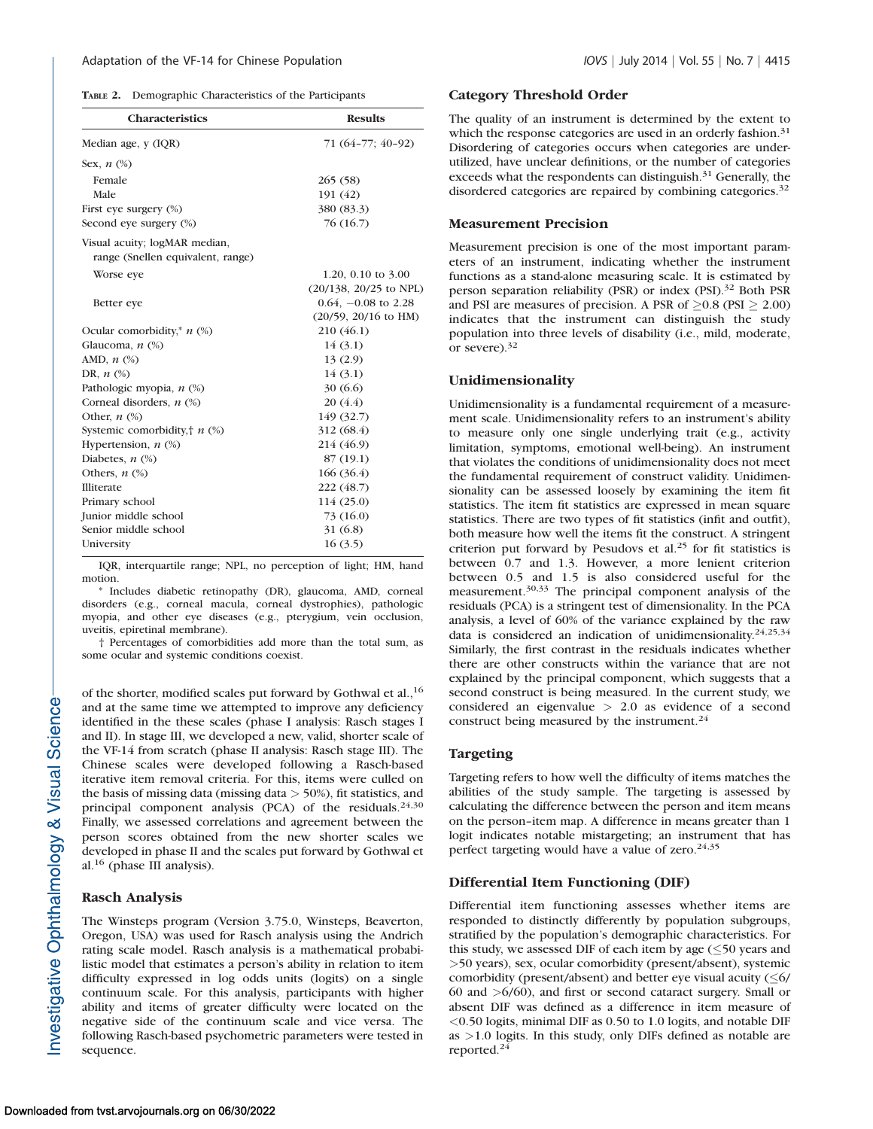| Demographic Characteristics of the Participants | TABLE 2. |  |  |  |  |
|-------------------------------------------------|----------|--|--|--|--|
|-------------------------------------------------|----------|--|--|--|--|

| <b>Characteristics</b>                   | <b>Results</b>         |  |  |
|------------------------------------------|------------------------|--|--|
| Median age, y (IQR)                      | 71 (64-77; 40-92)      |  |  |
| Sex, $n$ $(\%)$                          |                        |  |  |
| Female                                   | 265(58)                |  |  |
| Male                                     | 191 (42)               |  |  |
| First eye surgery (%)                    | 380 (83.3)             |  |  |
| Second eye surgery (%)                   | 76 (16.7)              |  |  |
| Visual acuity; logMAR median,            |                        |  |  |
| range (Snellen equivalent, range)        |                        |  |  |
| Worse eye                                | 1.20, 0.10 to $3.00$   |  |  |
|                                          | (20/138, 20/25 to NPL) |  |  |
| Better eye                               | $0.64, -0.08$ to 2.28  |  |  |
|                                          | $(20/59, 20/16$ to HM) |  |  |
| Ocular comorbidity, <sup>*</sup> $n$ (%) | 210 (46.1)             |  |  |
| Glaucoma, <i>n</i> (%)                   | 14(3.1)                |  |  |
| AMD, $n$ $\left(\% \right)$              | 13(2.9)                |  |  |
| DR, $n$ $(\%)$                           | 14(3.1)                |  |  |
| Pathologic myopia, n (%)                 | 30 (6.6)               |  |  |
| Corneal disorders, $n$ $(\%)$            | 20(4.4)                |  |  |
| Other, $n$ $(\%)$                        | 149 (32.7)             |  |  |
| Systemic comorbidity, $\uparrow$ $n$ (%) | 312 (68.4)             |  |  |
| Hypertension, $n$ $(\%)$                 | 214 (46.9)             |  |  |
| Diabetes, $n$ $(\%)$                     | 87 (19.1)              |  |  |
| Others, $n$ $(\%)$                       | 166(36.4)              |  |  |
| Illiterate                               | 222 (48.7)             |  |  |
| Primary school                           | 114 (25.0)             |  |  |
| Junior middle school                     | 73 (16.0)              |  |  |
| Senior middle school                     | 31 (6.8)               |  |  |
| University                               | 16(3.5)                |  |  |

IQR, interquartile range; NPL, no perception of light; HM, hand motion.

\* Includes diabetic retinopathy (DR), glaucoma, AMD, corneal disorders (e.g., corneal macula, corneal dystrophies), pathologic myopia, and other eye diseases (e.g., pterygium, vein occlusion, uveitis, epiretinal membrane).

† Percentages of comorbidities add more than the total sum, as some ocular and systemic conditions coexist.

of the shorter, modified scales put forward by Gothwal et al.,<sup>16</sup> and at the same time we attempted to improve any deficiency identified in the these scales (phase I analysis: Rasch stages I and II). In stage III, we developed a new, valid, shorter scale of the VF-14 from scratch (phase II analysis: Rasch stage III). The Chinese scales were developed following a Rasch-based iterative item removal criteria. For this, items were culled on the basis of missing data (missing data > 50%), fit statistics, and principal component analysis (PCA) of the residuals.<sup>24,30</sup> Finally, we assessed correlations and agreement between the person scores obtained from the new shorter scales we developed in phase II and the scales put forward by Gothwal et al. $16$  (phase III analysis).

## Rasch Analysis

The Winsteps program (Version 3.75.0, Winsteps, Beaverton, Oregon, USA) was used for Rasch analysis using the Andrich rating scale model. Rasch analysis is a mathematical probabilistic model that estimates a person's ability in relation to item difficulty expressed in log odds units (logits) on a single continuum scale. For this analysis, participants with higher ability and items of greater difficulty were located on the negative side of the continuum scale and vice versa. The following Rasch-based psychometric parameters were tested in sequence.

#### Category Threshold Order

The quality of an instrument is determined by the extent to which the response categories are used in an orderly fashion.<sup>31</sup> Disordering of categories occurs when categories are underutilized, have unclear definitions, or the number of categories exceeds what the respondents can distinguish. $31$  Generally, the disordered categories are repaired by combining categories.<sup>32</sup>

#### Measurement Precision

Measurement precision is one of the most important parameters of an instrument, indicating whether the instrument functions as a stand-alone measuring scale. It is estimated by person separation reliability (PSR) or index (PSI).<sup>32</sup> Both PSR and PSI are measures of precision. A PSR of  $\geq 0.8$  (PSI  $\geq 2.00$ ) indicates that the instrument can distinguish the study population into three levels of disability (i.e., mild, moderate, or severe).32

#### Unidimensionality

Unidimensionality is a fundamental requirement of a measurement scale. Unidimensionality refers to an instrument's ability to measure only one single underlying trait (e.g., activity limitation, symptoms, emotional well-being). An instrument that violates the conditions of unidimensionality does not meet the fundamental requirement of construct validity. Unidimensionality can be assessed loosely by examining the item fit statistics. The item fit statistics are expressed in mean square statistics. There are two types of fit statistics (infit and outfit), both measure how well the items fit the construct. A stringent criterion put forward by Pesudovs et al.<sup>25</sup> for fit statistics is between 0.7 and 1.3. However, a more lenient criterion between 0.5 and 1.5 is also considered useful for the measurement.30,33 The principal component analysis of the residuals (PCA) is a stringent test of dimensionality. In the PCA analysis, a level of 60% of the variance explained by the raw data is considered an indication of unidimensionality.<sup>24,25,34</sup> Similarly, the first contrast in the residuals indicates whether there are other constructs within the variance that are not explained by the principal component, which suggests that a second construct is being measured. In the current study, we considered an eigenvalue > 2.0 as evidence of a second construct being measured by the instrument.<sup>24</sup>

#### Targeting

Targeting refers to how well the difficulty of items matches the abilities of the study sample. The targeting is assessed by calculating the difference between the person and item means on the person–item map. A difference in means greater than 1 logit indicates notable mistargeting; an instrument that has perfect targeting would have a value of zero. $24,35$ 

#### Differential Item Functioning (DIF)

Differential item functioning assesses whether items are responded to distinctly differently by population subgroups, stratified by the population's demographic characteristics. For this study, we assessed DIF of each item by age  $(\leq 50$  years and >50 years), sex, ocular comorbidity (present/absent), systemic comorbidity (present/absent) and better eye visual acuity  $(\leq 6)$ 60 and >6/60), and first or second cataract surgery. Small or absent DIF was defined as a difference in item measure of <0.50 logits, minimal DIF as 0.50 to 1.0 logits, and notable DIF as >1.0 logits. In this study, only DIFs defined as notable are reported.<sup>24</sup>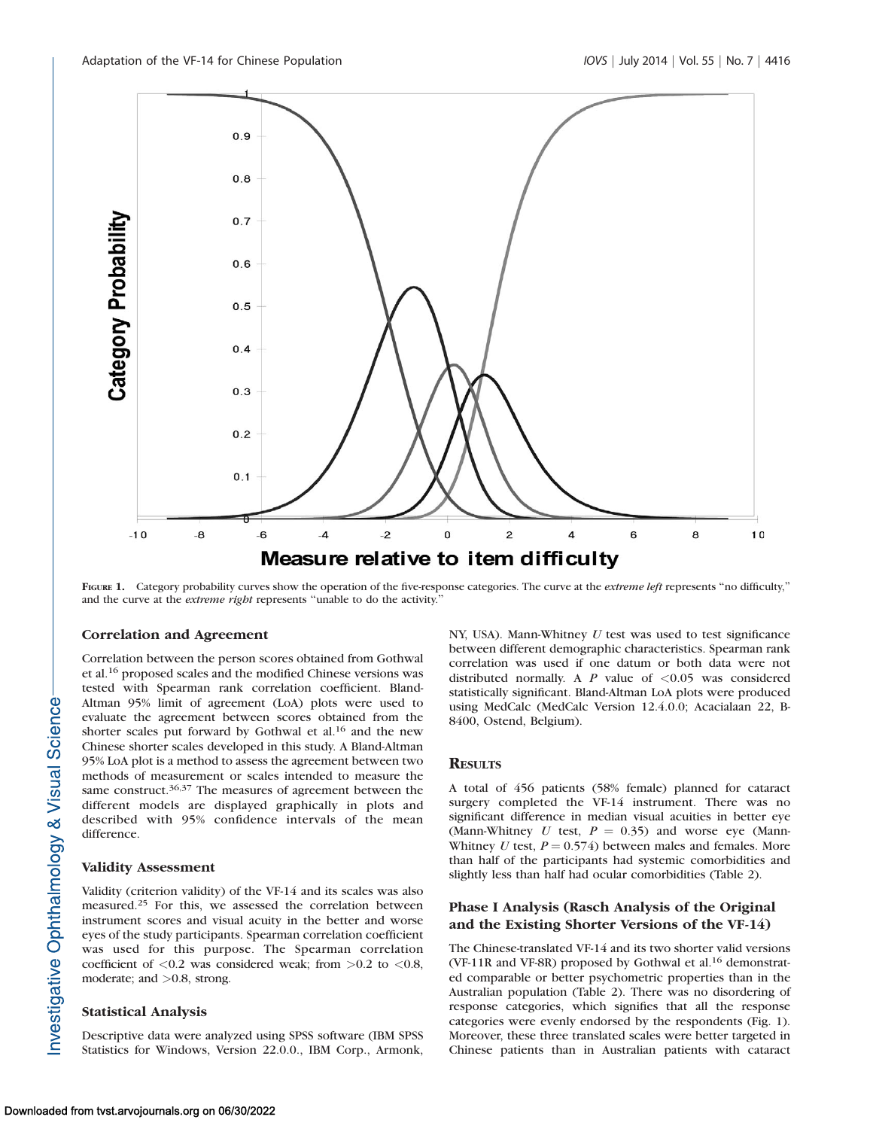

FIGURE 1. Category probability curves show the operation of the five-response categories. The curve at the *extreme left* represents "no difficulty," and the curve at the extreme right represents ''unable to do the activity.''

#### Correlation and Agreement

Correlation between the person scores obtained from Gothwal et al.<sup>16</sup> proposed scales and the modified Chinese versions was tested with Spearman rank correlation coefficient. Bland-Altman 95% limit of agreement (LoA) plots were used to evaluate the agreement between scores obtained from the shorter scales put forward by Gothwal et al.<sup>16</sup> and the new Chinese shorter scales developed in this study. A Bland-Altman 95% LoA plot is a method to assess the agreement between two methods of measurement or scales intended to measure the same construct.<sup>36,37</sup> The measures of agreement between the different models are displayed graphically in plots and described with 95% confidence intervals of the mean difference.

#### Validity Assessment

Validity (criterion validity) of the VF-14 and its scales was also measured.<sup>25</sup> For this, we assessed the correlation between instrument scores and visual acuity in the better and worse eyes of the study participants. Spearman correlation coefficient was used for this purpose. The Spearman correlation coefficient of  $< 0.2$  was considered weak; from  $> 0.2$  to  $< 0.8$ , moderate; and >0.8, strong.

#### Statistical Analysis

Descriptive data were analyzed using SPSS software (IBM SPSS Statistics for Windows, Version 22.0.0., IBM Corp., Armonk, NY, USA). Mann-Whitney  $U$  test was used to test significance between different demographic characteristics. Spearman rank correlation was used if one datum or both data were not distributed normally. A  $P$  value of  $\langle 0.05 \rangle$  was considered statistically significant. Bland-Altman LoA plots were produced using MedCalc (MedCalc Version 12.4.0.0; Acacialaan 22, B-8400, Ostend, Belgium).

## **RESULTS**

A total of 456 patients (58% female) planned for cataract surgery completed the VF-14 instrument. There was no significant difference in median visual acuities in better eye (Mann-Whitney U test,  $P = 0.35$ ) and worse eye (Mann-Whitney U test,  $P = 0.574$ ) between males and females. More than half of the participants had systemic comorbidities and slightly less than half had ocular comorbidities (Table 2).

## Phase I Analysis (Rasch Analysis of the Original and the Existing Shorter Versions of the VF-14)

The Chinese-translated VF-14 and its two shorter valid versions (VF-11R and VF-8R) proposed by Gothwal et al.<sup>16</sup> demonstrated comparable or better psychometric properties than in the Australian population (Table 2). There was no disordering of response categories, which signifies that all the response categories were evenly endorsed by the respondents (Fig. 1). Moreover, these three translated scales were better targeted in Chinese patients than in Australian patients with cataract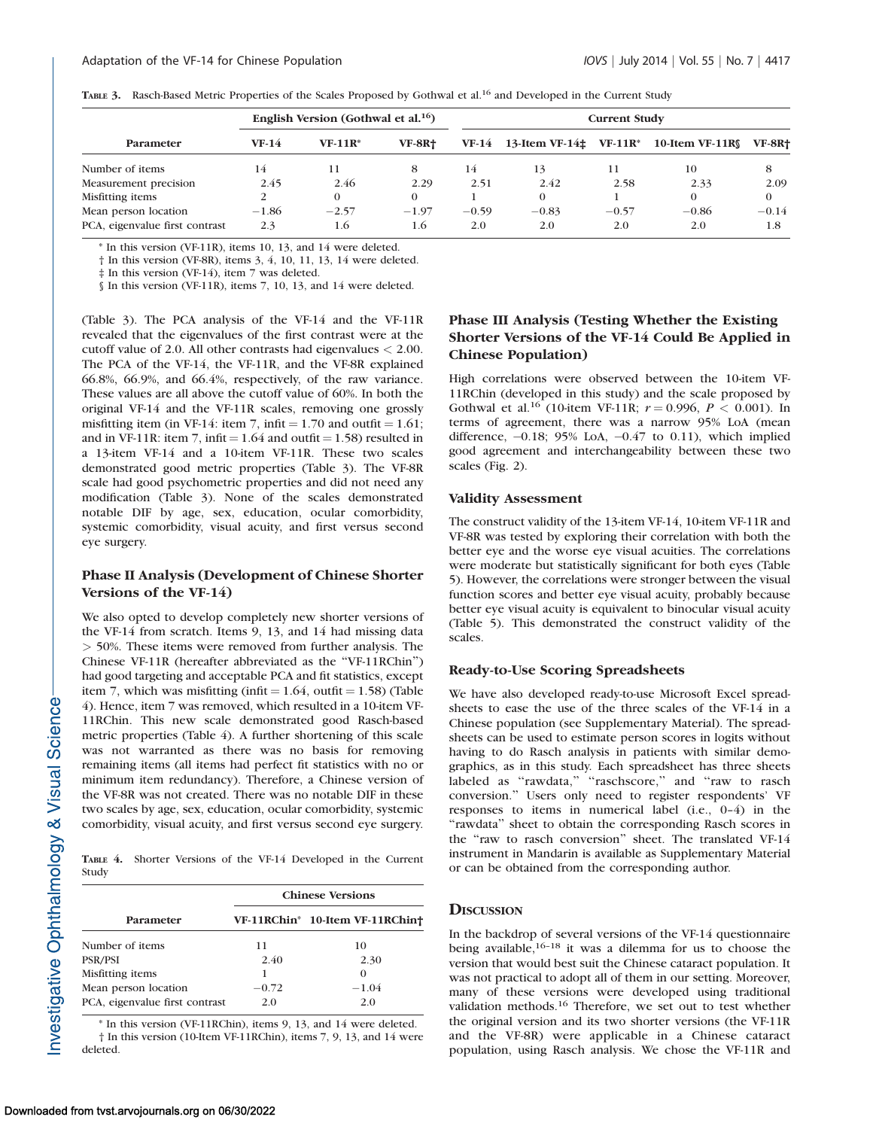| TABLE 3. Rasch-Based Metric Properties of the Scales Proposed by Gothwal et al. <sup>16</sup> and Developed in the Current Study |  |
|----------------------------------------------------------------------------------------------------------------------------------|--|
|----------------------------------------------------------------------------------------------------------------------------------|--|

|                                | English Version (Gothwal et al. <sup>16</sup> ) |           |               | <b>Current Study</b> |                                         |         |                             |               |
|--------------------------------|-------------------------------------------------|-----------|---------------|----------------------|-----------------------------------------|---------|-----------------------------|---------------|
| <b>Parameter</b>               | $VF-14$                                         | $VF-11R*$ | <b>VF-8R+</b> | VF-14                | 13-Item VF-14 $\pm$ VF-11R <sup>*</sup> |         | 10-Item VF-11R <sub>S</sub> | <b>VF-8R+</b> |
| Number of items                | 4                                               | 11        |               | 14                   | 13                                      | 11      | 10                          | 8             |
| Measurement precision          | 2.45                                            | 2.46      | 2.29          | 2.51                 | 2.42                                    | 2.58    | 2.33                        | 2.09          |
| Misfitting items               |                                                 |           | 0             |                      | $\Omega$                                |         | 0                           | $\Omega$      |
| Mean person location           | $-1.86$                                         | $-2.57$   | $-1.97$       | $-0.59$              | $-0.83$                                 | $-0.57$ | $-0.86$                     | $-0.14$       |
| PCA, eigenvalue first contrast | 2.3                                             | 1.6       | 1.6           | 2.0                  | 2.0                                     | 2.0     | 2.0                         | 1.8           |

\* In this version (VF-11R), items 10, 13, and 14 were deleted.

† In this version (VF-8R), items 3, 4, 10, 11, 13, 14 were deleted.

‡ In this version (VF-14), item 7 was deleted.

§ In this version (VF-11R), items 7, 10, 13, and 14 were deleted.

(Table 3). The PCA analysis of the VF-14 and the VF-11R revealed that the eigenvalues of the first contrast were at the cutoff value of 2.0. All other contrasts had eigenvalues < 2.00. The PCA of the VF-14, the VF-11R, and the VF-8R explained 66.8%, 66.9%, and 66.4%, respectively, of the raw variance. These values are all above the cutoff value of 60%. In both the original VF-14 and the VF-11R scales, removing one grossly misfitting item (in VF-14: item 7, infit  $= 1.70$  and outfit  $= 1.61$ ; and in VF-11R: item 7, infit  $= 1.64$  and outfit  $= 1.58$ ) resulted in a 13-item VF-14 and a 10-item VF-11R. These two scales demonstrated good metric properties (Table 3). The VF-8R scale had good psychometric properties and did not need any modification (Table 3). None of the scales demonstrated notable DIF by age, sex, education, ocular comorbidity, systemic comorbidity, visual acuity, and first versus second eye surgery.

## Phase II Analysis (Development of Chinese Shorter Versions of the VF-14)

We also opted to develop completely new shorter versions of the VF-14 from scratch. Items 9, 13, and 14 had missing data > 50%. These items were removed from further analysis. The Chinese VF-11R (hereafter abbreviated as the ''VF-11RChin'') had good targeting and acceptable PCA and fit statistics, except item 7, which was misfitting (infit  $= 1.64$ , outfit  $= 1.58$ ) (Table 4). Hence, item 7 was removed, which resulted in a 10-item VF-11RChin. This new scale demonstrated good Rasch-based metric properties (Table 4). A further shortening of this scale was not warranted as there was no basis for removing remaining items (all items had perfect fit statistics with no or minimum item redundancy). Therefore, a Chinese version of the VF-8R was not created. There was no notable DIF in these two scales by age, sex, education, ocular comorbidity, systemic comorbidity, visual acuity, and first versus second eye surgery.

TABLE 4. Shorter Versions of the VF-14 Developed in the Current Study

|                                | <b>Chinese Versions</b> |                                 |  |  |  |
|--------------------------------|-------------------------|---------------------------------|--|--|--|
| Parameter                      |                         | VF-11RChin* 10-Item VF-11RChin† |  |  |  |
| Number of items                | 11                      | 10                              |  |  |  |
| PSR/PSI                        | 2.40                    | 2.30                            |  |  |  |
| Misfitting items               |                         | $\theta$                        |  |  |  |
| Mean person location           | $-0.72$                 | $-1.04$                         |  |  |  |
| PCA, eigenvalue first contrast | 2.0                     | 2.0                             |  |  |  |

\* In this version (VF-11RChin), items 9, 13, and 14 were deleted. † In this version (10-Item VF-11RChin), items 7, 9, 13, and 14 were deleted.

# Phase III Analysis (Testing Whether the Existing Shorter Versions of the VF-14 Could Be Applied in Chinese Population)

High correlations were observed between the 10-item VF-11RChin (developed in this study) and the scale proposed by Gothwal et al.<sup>16</sup> (10-item VF-11R;  $r = 0.996, P < 0.001$ ). In terms of agreement, there was a narrow 95% LoA (mean difference, -0.18; 95% LoA, -0.47 to 0.11), which implied good agreement and interchangeability between these two scales (Fig. 2).

## Validity Assessment

The construct validity of the 13-item VF-14, 10-item VF-11R and VF-8R was tested by exploring their correlation with both the better eye and the worse eye visual acuities. The correlations were moderate but statistically significant for both eyes (Table 5). However, the correlations were stronger between the visual function scores and better eye visual acuity, probably because better eye visual acuity is equivalent to binocular visual acuity (Table 5). This demonstrated the construct validity of the scales.

#### Ready-to-Use Scoring Spreadsheets

We have also developed ready-to-use Microsoft Excel spreadsheets to ease the use of the three scales of the VF-14 in a Chinese population (see [Supplementary Material\)](http://www.iovs.org/content/55/7/4413/suppl/DC1). The spreadsheets can be used to estimate person scores in logits without having to do Rasch analysis in patients with similar demographics, as in this study. Each spreadsheet has three sheets labeled as "rawdata," "raschscore," and "raw to rasch conversion.'' Users only need to register respondents' VF responses to items in numerical label (i.e., 0–4) in the "rawdata" sheet to obtain the corresponding Rasch scores in the ''raw to rasch conversion'' sheet. The translated VF-14 instrument in Mandarin is available as [Supplementary Material](http://www.iovs.org/content/55/7/4413/suppl/DC1) or can be obtained from the corresponding author.

#### **DISCUSSION**

In the backdrop of several versions of the VF-14 questionnaire being available, $16-18$  it was a dilemma for us to choose the version that would best suit the Chinese cataract population. It was not practical to adopt all of them in our setting. Moreover, many of these versions were developed using traditional validation methods.<sup>16</sup> Therefore, we set out to test whether the original version and its two shorter versions (the VF-11R and the VF-8R) were applicable in a Chinese cataract population, using Rasch analysis. We chose the VF-11R and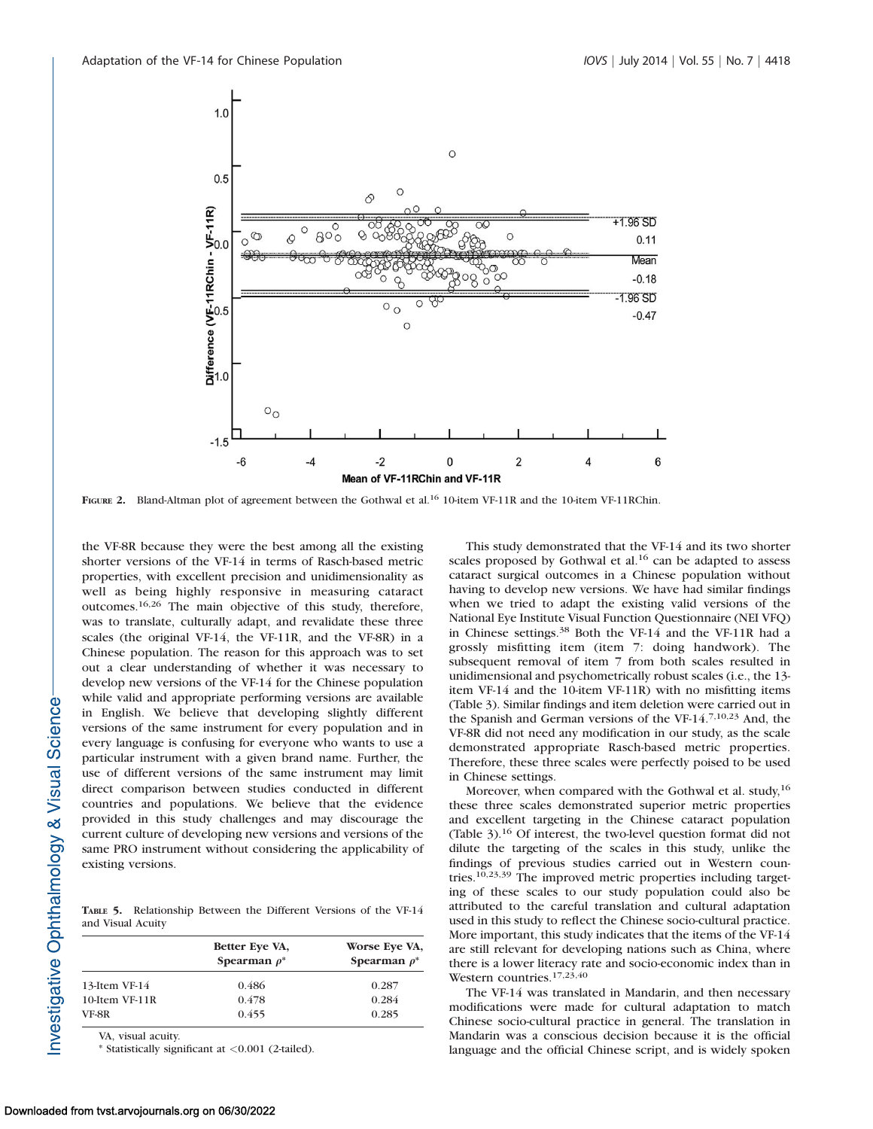

FIGURE 2. Bland-Altman plot of agreement between the Gothwal et al.<sup>16</sup> 10-item VF-11R and the 10-item VF-11RChin.

the VF-8R because they were the best among all the existing shorter versions of the VF-14 in terms of Rasch-based metric properties, with excellent precision and unidimensionality as well as being highly responsive in measuring cataract outcomes.16,26 The main objective of this study, therefore, was to translate, culturally adapt, and revalidate these three scales (the original VF-14, the VF-11R, and the VF-8R) in a Chinese population. The reason for this approach was to set out a clear understanding of whether it was necessary to develop new versions of the VF-14 for the Chinese population while valid and appropriate performing versions are available in English. We believe that developing slightly different versions of the same instrument for every population and in every language is confusing for everyone who wants to use a particular instrument with a given brand name. Further, the use of different versions of the same instrument may limit direct comparison between studies conducted in different countries and populations. We believe that the evidence provided in this study challenges and may discourage the current culture of developing new versions and versions of the same PRO instrument without considering the applicability of existing versions.

TABLE 5. Relationship Between the Different Versions of the VF-14 and Visual Acuity

|                | Better Eye VA,<br>Spearman $\rho^*$ | Worse Eye VA,<br>Spearman $\rho^*$ |
|----------------|-------------------------------------|------------------------------------|
| 13-Item VF-14  | 0.486                               | 0.287                              |
| 10-Item VF-11R | 0.478                               | 0.284                              |
| VF-8R          | 0.455                               | 0.285                              |

VA, visual acuity.

\* Statistically significant at <0.001 (2-tailed).

This study demonstrated that the VF-14 and its two shorter scales proposed by Gothwal et al. $16$  can be adapted to assess cataract surgical outcomes in a Chinese population without having to develop new versions. We have had similar findings when we tried to adapt the existing valid versions of the National Eye Institute Visual Function Questionnaire (NEI VFQ) in Chinese settings.<sup>38</sup> Both the VF-14 and the VF-11R had a grossly misfitting item (item 7: doing handwork). The subsequent removal of item 7 from both scales resulted in unidimensional and psychometrically robust scales (i.e., the 13 item VF-14 and the 10-item VF-11R) with no misfitting items (Table 3). Similar findings and item deletion were carried out in the Spanish and German versions of the VF-14.7,10,23 And, the VF-8R did not need any modification in our study, as the scale demonstrated appropriate Rasch-based metric properties. Therefore, these three scales were perfectly poised to be used in Chinese settings.

Moreover, when compared with the Gothwal et al. study,<sup>16</sup> these three scales demonstrated superior metric properties and excellent targeting in the Chinese cataract population (Table 3).<sup>16</sup> Of interest, the two-level question format did not dilute the targeting of the scales in this study, unlike the findings of previous studies carried out in Western countries.<sup>10,23,39</sup> The improved metric properties including targeting of these scales to our study population could also be attributed to the careful translation and cultural adaptation used in this study to reflect the Chinese socio-cultural practice. More important, this study indicates that the items of the VF-14 are still relevant for developing nations such as China, where there is a lower literacy rate and socio-economic index than in Western countries.<sup>17,23,40</sup>

The VF-14 was translated in Mandarin, and then necessary modifications were made for cultural adaptation to match Chinese socio-cultural practice in general. The translation in Mandarin was a conscious decision because it is the official language and the official Chinese script, and is widely spoken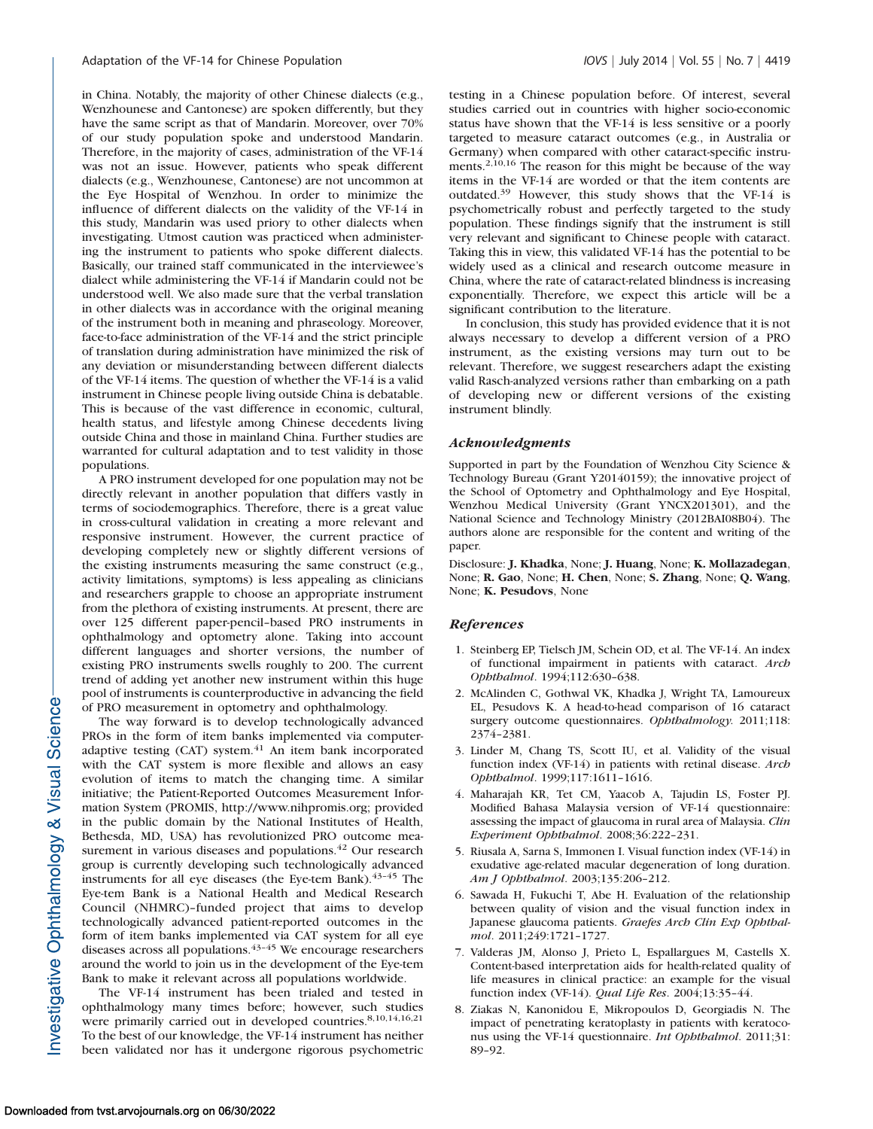in China. Notably, the majority of other Chinese dialects (e.g., Wenzhounese and Cantonese) are spoken differently, but they have the same script as that of Mandarin. Moreover, over 70% of our study population spoke and understood Mandarin. Therefore, in the majority of cases, administration of the VF-14 was not an issue. However, patients who speak different dialects (e.g., Wenzhounese, Cantonese) are not uncommon at the Eye Hospital of Wenzhou. In order to minimize the influence of different dialects on the validity of the VF-14 in this study, Mandarin was used priory to other dialects when investigating. Utmost caution was practiced when administering the instrument to patients who spoke different dialects. Basically, our trained staff communicated in the interviewee's dialect while administering the VF-14 if Mandarin could not be understood well. We also made sure that the verbal translation in other dialects was in accordance with the original meaning of the instrument both in meaning and phraseology. Moreover, face-to-face administration of the VF-14 and the strict principle of translation during administration have minimized the risk of any deviation or misunderstanding between different dialects of the VF-14 items. The question of whether the VF-14 is a valid instrument in Chinese people living outside China is debatable. This is because of the vast difference in economic, cultural, health status, and lifestyle among Chinese decedents living outside China and those in mainland China. Further studies are warranted for cultural adaptation and to test validity in those populations.

A PRO instrument developed for one population may not be directly relevant in another population that differs vastly in terms of sociodemographics. Therefore, there is a great value in cross-cultural validation in creating a more relevant and responsive instrument. However, the current practice of developing completely new or slightly different versions of the existing instruments measuring the same construct (e.g., activity limitations, symptoms) is less appealing as clinicians and researchers grapple to choose an appropriate instrument from the plethora of existing instruments. At present, there are over 125 different paper-pencil–based PRO instruments in ophthalmology and optometry alone. Taking into account different languages and shorter versions, the number of existing PRO instruments swells roughly to 200. The current trend of adding yet another new instrument within this huge pool of instruments is counterproductive in advancing the field of PRO measurement in optometry and ophthalmology.

The way forward is to develop technologically advanced PROs in the form of item banks implemented via computeradaptive testing (CAT) system.<sup>41</sup> An item bank incorporated with the CAT system is more flexible and allows an easy evolution of items to match the changing time. A similar initiative; the Patient-Reported Outcomes Measurement Information System (PROMIS, http://www.nihpromis.org; provided in the public domain by the National Institutes of Health, Bethesda, MD, USA) has revolutionized PRO outcome measurement in various diseases and populations.<sup>42</sup> Our research group is currently developing such technologically advanced instruments for all eye diseases (the Eye-tem Bank). $43-45$  The Eye-tem Bank is a National Health and Medical Research Council (NHMRC)–funded project that aims to develop technologically advanced patient-reported outcomes in the form of item banks implemented via CAT system for all eye diseases across all populations. $43-45$  We encourage researchers around the world to join us in the development of the Eye-tem Bank to make it relevant across all populations worldwide.

The VF-14 instrument has been trialed and tested in ophthalmology many times before; however, such studies were primarily carried out in developed countries.<sup>8,10,14,16,21</sup> To the best of our knowledge, the VF-14 instrument has neither been validated nor has it undergone rigorous psychometric testing in a Chinese population before. Of interest, several studies carried out in countries with higher socio-economic status have shown that the VF-14 is less sensitive or a poorly targeted to measure cataract outcomes (e.g., in Australia or Germany) when compared with other cataract-specific instruments.<sup>2,10,16</sup> The reason for this might be because of the way items in the VF-14 are worded or that the item contents are outdated.<sup>39</sup> However, this study shows that the VF-14 is psychometrically robust and perfectly targeted to the study population. These findings signify that the instrument is still very relevant and significant to Chinese people with cataract. Taking this in view, this validated VF-14 has the potential to be widely used as a clinical and research outcome measure in China, where the rate of cataract-related blindness is increasing exponentially. Therefore, we expect this article will be a significant contribution to the literature.

In conclusion, this study has provided evidence that it is not always necessary to develop a different version of a PRO instrument, as the existing versions may turn out to be relevant. Therefore, we suggest researchers adapt the existing valid Rasch-analyzed versions rather than embarking on a path of developing new or different versions of the existing instrument blindly.

#### Acknowledgments

Supported in part by the Foundation of Wenzhou City Science & Technology Bureau (Grant Y20140159); the innovative project of the School of Optometry and Ophthalmology and Eye Hospital, Wenzhou Medical University (Grant YNCX201301), and the National Science and Technology Ministry (2012BAI08B04). The authors alone are responsible for the content and writing of the paper.

Disclosure: J. Khadka, None; J. Huang, None; K. Mollazadegan, None; R. Gao, None; H. Chen, None; S. Zhang, None; Q. Wang, None; K. Pesudovs, None

#### References

- 1. Steinberg EP, Tielsch JM, Schein OD, et al. The VF-14. An index of functional impairment in patients with cataract. Arch Ophthalmol. 1994;112:630–638.
- 2. McAlinden C, Gothwal VK, Khadka J, Wright TA, Lamoureux EL, Pesudovs K. A head-to-head comparison of 16 cataract surgery outcome questionnaires. Ophthalmology. 2011;118: 2374–2381.
- 3. Linder M, Chang TS, Scott IU, et al. Validity of the visual function index (VF-14) in patients with retinal disease. Arch Ophthalmol. 1999;117:1611–1616.
- 4. Maharajah KR, Tet CM, Yaacob A, Tajudin LS, Foster PJ. Modified Bahasa Malaysia version of VF-14 questionnaire: assessing the impact of glaucoma in rural area of Malaysia. Clin Experiment Ophthalmol. 2008;36:222–231.
- 5. Riusala A, Sarna S, Immonen I. Visual function index (VF-14) in exudative age-related macular degeneration of long duration. Am J Ophthalmol. 2003;135:206–212.
- 6. Sawada H, Fukuchi T, Abe H. Evaluation of the relationship between quality of vision and the visual function index in Japanese glaucoma patients. Graefes Arch Clin Exp Ophthalmol. 2011;249:1721–1727.
- 7. Valderas JM, Alonso J, Prieto L, Espallargues M, Castells X. Content-based interpretation aids for health-related quality of life measures in clinical practice: an example for the visual function index (VF-14). Qual Life Res. 2004;13:35–44.
- 8. Ziakas N, Kanonidou E, Mikropoulos D, Georgiadis N. The impact of penetrating keratoplasty in patients with keratoconus using the VF-14 questionnaire. Int Ophthalmol. 2011;31: 89–92.